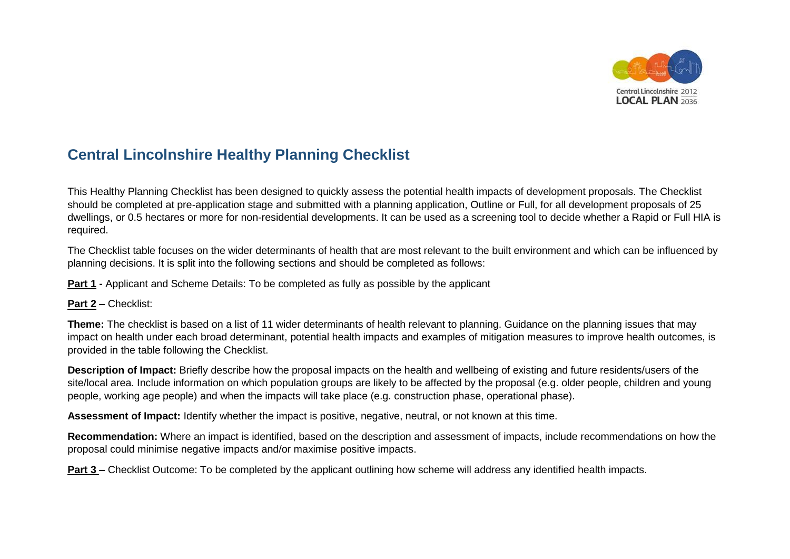

## **Central Lincolnshire Healthy Planning Checklist**

This Healthy Planning Checklist has been designed to quickly assess the potential health impacts of development proposals. The Checklist should be completed at pre-application stage and submitted with a planning application, Outline or Full, for all development proposals of 25 dwellings, or 0.5 hectares or more for non-residential developments. It can be used as a screening tool to decide whether a Rapid or Full HIA is required.

The Checklist table focuses on the wider determinants of health that are most relevant to the built environment and which can be influenced by planning decisions. It is split into the following sections and should be completed as follows:

**Part 1 -** Applicant and Scheme Details: To be completed as fully as possible by the applicant

## **Part 2 –** Checklist:

**Theme:** The checklist is based on a list of 11 wider determinants of health relevant to planning. Guidance on the planning issues that may impact on health under each broad determinant, potential health impacts and examples of mitigation measures to improve health outcomes, is provided in the table following the Checklist.

**Description of Impact:** Briefly describe how the proposal impacts on the health and wellbeing of existing and future residents/users of the site/local area. Include information on which population groups are likely to be affected by the proposal (e.g. older people, children and young people, working age people) and when the impacts will take place (e.g. construction phase, operational phase).

**Assessment of Impact:** Identify whether the impact is positive, negative, neutral, or not known at this time.

**Recommendation:** Where an impact is identified, based on the description and assessment of impacts, include recommendations on how the proposal could minimise negative impacts and/or maximise positive impacts.

**Part 3** – Checklist Outcome: To be completed by the applicant outlining how scheme will address any identified health impacts.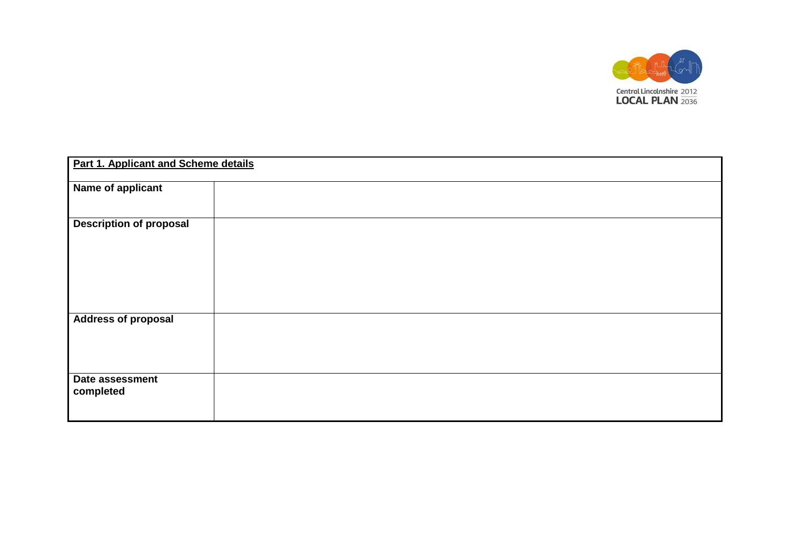

| Part 1. Applicant and Scheme details |  |  |  |  |
|--------------------------------------|--|--|--|--|
| Name of applicant                    |  |  |  |  |
| <b>Description of proposal</b>       |  |  |  |  |
| <b>Address of proposal</b>           |  |  |  |  |
| Date assessment<br>completed         |  |  |  |  |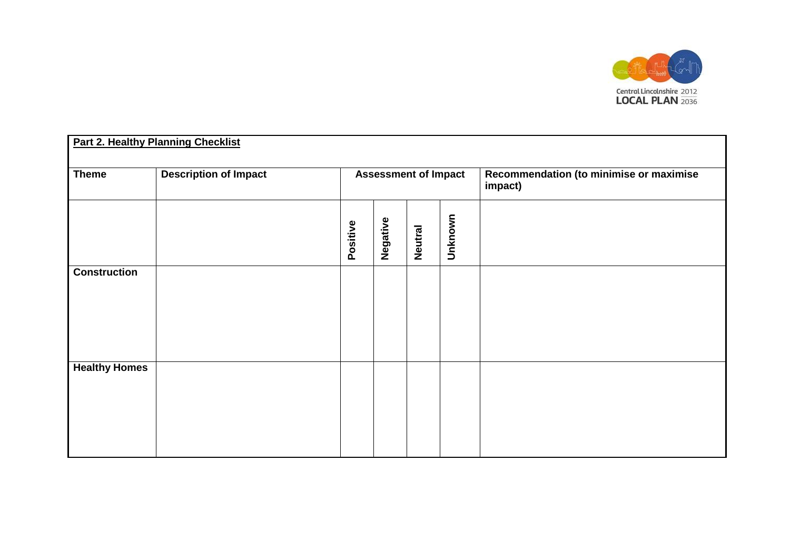

| <b>Part 2. Healthy Planning Checklist</b> |                              |                             |          |                |                                                    |  |
|-------------------------------------------|------------------------------|-----------------------------|----------|----------------|----------------------------------------------------|--|
| <b>Theme</b>                              | <b>Description of Impact</b> | <b>Assessment of Impact</b> |          |                | Recommendation (to minimise or maximise<br>impact) |  |
|                                           |                              | Positive                    | Negative | <b>Neutral</b> | Unknown                                            |  |
| <b>Construction</b>                       |                              |                             |          |                |                                                    |  |
| <b>Healthy Homes</b>                      |                              |                             |          |                |                                                    |  |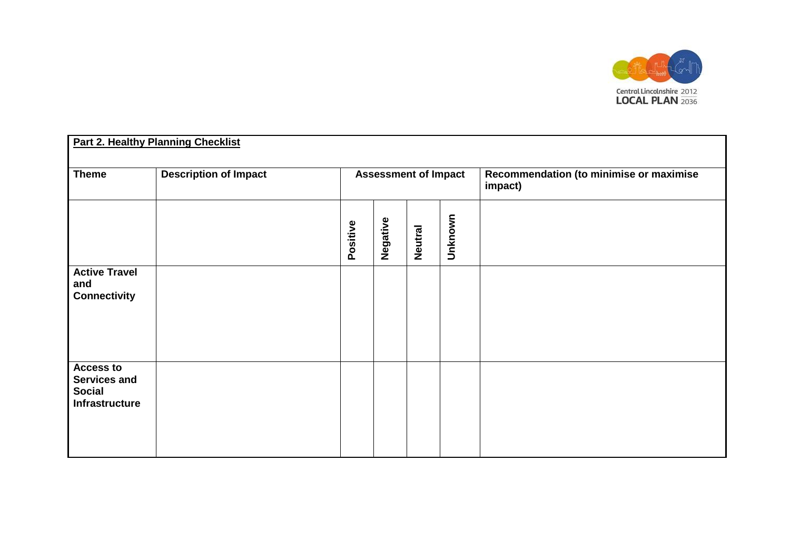

| <b>Part 2. Healthy Planning Checklist</b>                                  |                              |                             |          |                |         |                                                    |
|----------------------------------------------------------------------------|------------------------------|-----------------------------|----------|----------------|---------|----------------------------------------------------|
| <b>Theme</b>                                                               | <b>Description of Impact</b> | <b>Assessment of Impact</b> |          |                |         | Recommendation (to minimise or maximise<br>impact) |
|                                                                            |                              | Positive                    | Negative | <b>Neutral</b> | Unknown |                                                    |
| <b>Active Travel</b><br>and<br><b>Connectivity</b>                         |                              |                             |          |                |         |                                                    |
| <b>Access to</b><br><b>Services and</b><br><b>Social</b><br>Infrastructure |                              |                             |          |                |         |                                                    |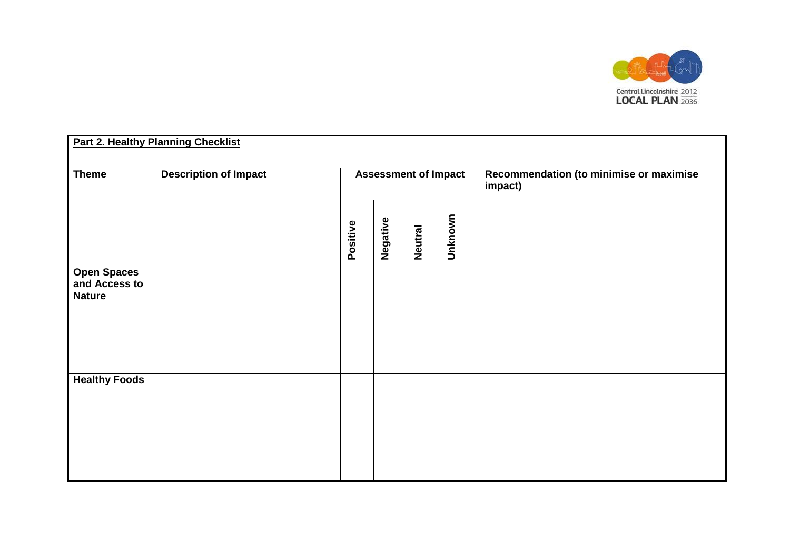

| <b>Part 2. Healthy Planning Checklist</b>            |                              |                             |          |                |         |                                                    |
|------------------------------------------------------|------------------------------|-----------------------------|----------|----------------|---------|----------------------------------------------------|
| <b>Theme</b>                                         | <b>Description of Impact</b> | <b>Assessment of Impact</b> |          |                |         | Recommendation (to minimise or maximise<br>impact) |
|                                                      |                              | Positive                    | Negative | <b>Neutral</b> | Unknown |                                                    |
| <b>Open Spaces</b><br>and Access to<br><b>Nature</b> |                              |                             |          |                |         |                                                    |
| <b>Healthy Foods</b>                                 |                              |                             |          |                |         |                                                    |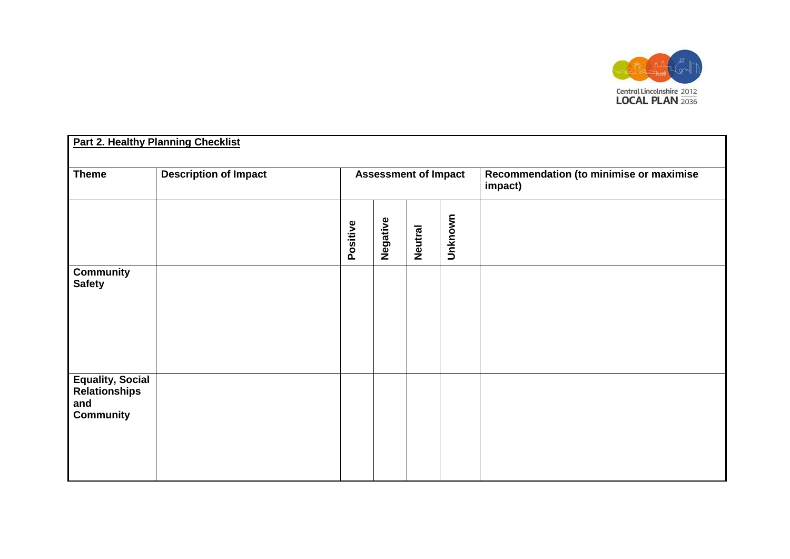

| <b>Part 2. Healthy Planning Checklist</b>                                  |                              |                             |          |                |         |                                                    |
|----------------------------------------------------------------------------|------------------------------|-----------------------------|----------|----------------|---------|----------------------------------------------------|
| <b>Theme</b>                                                               | <b>Description of Impact</b> | <b>Assessment of Impact</b> |          |                |         | Recommendation (to minimise or maximise<br>impact) |
|                                                                            |                              | Positive                    | Negative | <b>Neutral</b> | Unknown |                                                    |
| <b>Community</b><br><b>Safety</b>                                          |                              |                             |          |                |         |                                                    |
| <b>Equality, Social</b><br><b>Relationships</b><br>and<br><b>Community</b> |                              |                             |          |                |         |                                                    |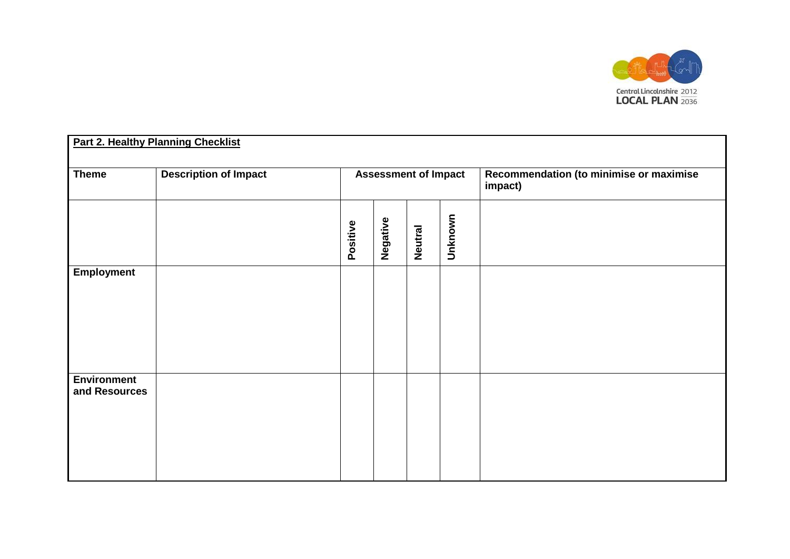

| <b>Part 2. Healthy Planning Checklist</b> |                              |                             |          |                |         |                                                    |
|-------------------------------------------|------------------------------|-----------------------------|----------|----------------|---------|----------------------------------------------------|
| <b>Theme</b>                              | <b>Description of Impact</b> | <b>Assessment of Impact</b> |          |                |         | Recommendation (to minimise or maximise<br>impact) |
|                                           |                              | Positive                    | Negative | <b>Neutral</b> | Unknown |                                                    |
| <b>Employment</b>                         |                              |                             |          |                |         |                                                    |
| <b>Environment</b><br>and Resources       |                              |                             |          |                |         |                                                    |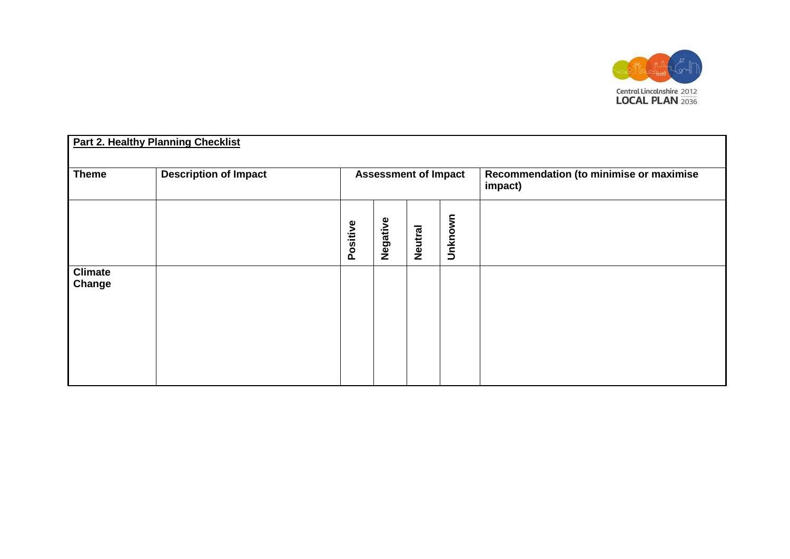

| Part 2. Healthy Planning Checklist |                              |                             |          |         |                                                    |  |
|------------------------------------|------------------------------|-----------------------------|----------|---------|----------------------------------------------------|--|
| <b>Theme</b>                       | <b>Description of Impact</b> | <b>Assessment of Impact</b> |          |         | Recommendation (to minimise or maximise<br>impact) |  |
|                                    |                              | Positive                    | Negative | Neutral | Unknown                                            |  |
| <b>Climate</b><br>Change           |                              |                             |          |         |                                                    |  |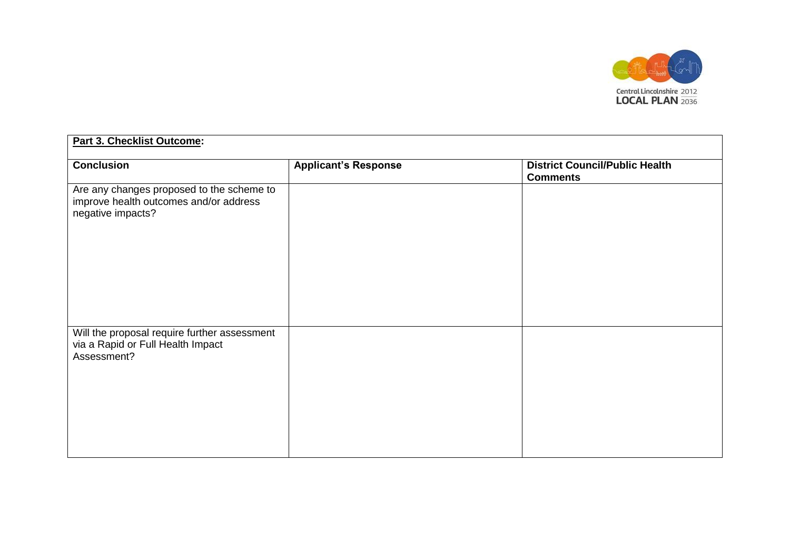

| Part 3. Checklist Outcome:                                                                               |                             |                                                          |  |  |  |
|----------------------------------------------------------------------------------------------------------|-----------------------------|----------------------------------------------------------|--|--|--|
| <b>Conclusion</b>                                                                                        | <b>Applicant's Response</b> | <b>District Council/Public Health</b><br><b>Comments</b> |  |  |  |
| Are any changes proposed to the scheme to<br>improve health outcomes and/or address<br>negative impacts? |                             |                                                          |  |  |  |
| Will the proposal require further assessment<br>via a Rapid or Full Health Impact<br>Assessment?         |                             |                                                          |  |  |  |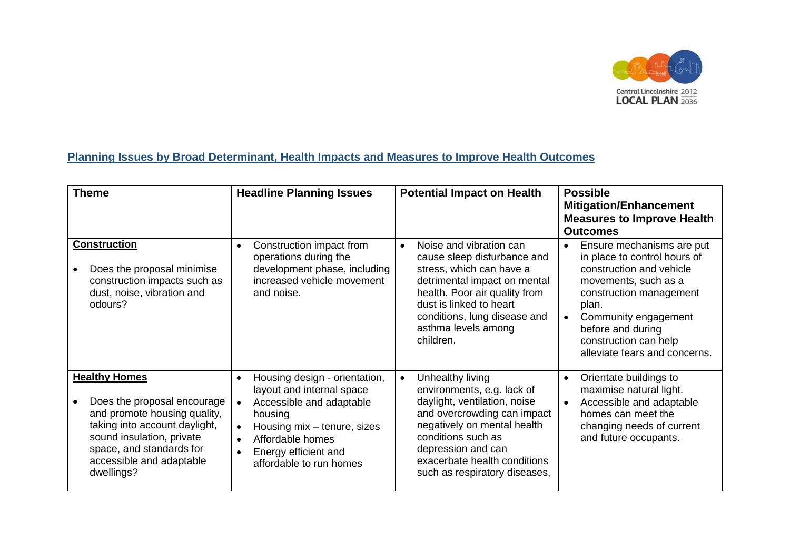

## **Planning Issues by Broad Determinant, Health Impacts and Measures to Improve Health Outcomes**

| <b>Theme</b>                                                                                                                                                                                                            | <b>Headline Planning Issues</b>                                                                                                                                                                                                                             | <b>Potential Impact on Health</b>                                                                                                                                                                                                                                      | <b>Possible</b><br><b>Mitigation/Enhancement</b><br><b>Measures to Improve Health</b><br><b>Outcomes</b>                                                                                                                                                              |
|-------------------------------------------------------------------------------------------------------------------------------------------------------------------------------------------------------------------------|-------------------------------------------------------------------------------------------------------------------------------------------------------------------------------------------------------------------------------------------------------------|------------------------------------------------------------------------------------------------------------------------------------------------------------------------------------------------------------------------------------------------------------------------|-----------------------------------------------------------------------------------------------------------------------------------------------------------------------------------------------------------------------------------------------------------------------|
| <b>Construction</b><br>Does the proposal minimise<br>construction impacts such as<br>dust, noise, vibration and<br>odours?                                                                                              | Construction impact from<br>$\bullet$<br>operations during the<br>development phase, including<br>increased vehicle movement<br>and noise.                                                                                                                  | Noise and vibration can<br>$\bullet$<br>cause sleep disturbance and<br>stress, which can have a<br>detrimental impact on mental<br>health. Poor air quality from<br>dust is linked to heart<br>conditions, lung disease and<br>asthma levels among<br>children.        | Ensure mechanisms are put<br>$\bullet$<br>in place to control hours of<br>construction and vehicle<br>movements, such as a<br>construction management<br>plan.<br>Community engagement<br>before and during<br>construction can help<br>alleviate fears and concerns. |
| <b>Healthy Homes</b><br>Does the proposal encourage<br>and promote housing quality,<br>taking into account daylight,<br>sound insulation, private<br>space, and standards for<br>accessible and adaptable<br>dwellings? | Housing design - orientation,<br>$\bullet$<br>layout and internal space<br>Accessible and adaptable<br>housing<br>Housing mix - tenure, sizes<br>$\bullet$<br>Affordable homes<br>$\bullet$<br>Energy efficient and<br>$\bullet$<br>affordable to run homes | Unhealthy living<br>$\bullet$<br>environments, e.g. lack of<br>daylight, ventilation, noise<br>and overcrowding can impact<br>negatively on mental health<br>conditions such as<br>depression and can<br>exacerbate health conditions<br>such as respiratory diseases, | Orientate buildings to<br>$\bullet$<br>maximise natural light.<br>Accessible and adaptable<br>homes can meet the<br>changing needs of current<br>and future occupants.                                                                                                |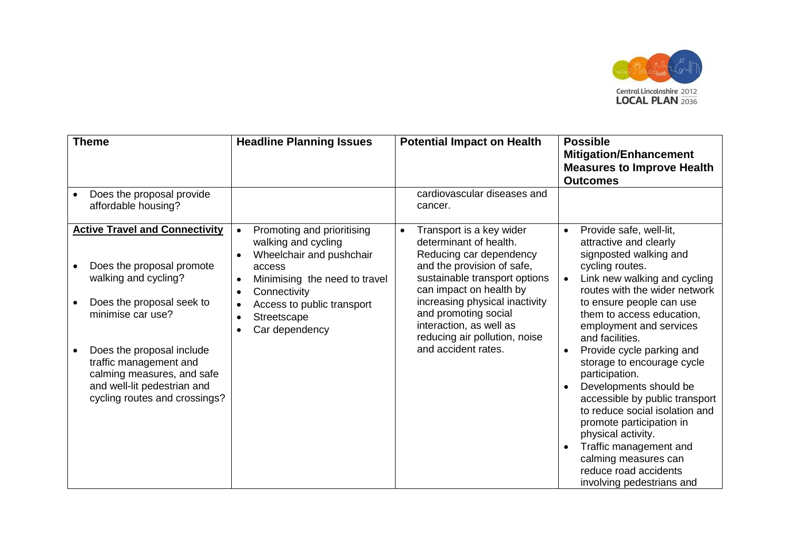

| <b>Theme</b>                                                                                                                                                                                                                                                                                      | <b>Headline Planning Issues</b>                                                                                                                                                                                                                                                                    | <b>Potential Impact on Health</b>                                                                                                                                                                                                                                                                                                 | <b>Possible</b><br><b>Mitigation/Enhancement</b><br><b>Measures to Improve Health</b><br><b>Outcomes</b>                                                                                                                                                                                                                                                                                                                                                                                                                                                                                                                 |
|---------------------------------------------------------------------------------------------------------------------------------------------------------------------------------------------------------------------------------------------------------------------------------------------------|----------------------------------------------------------------------------------------------------------------------------------------------------------------------------------------------------------------------------------------------------------------------------------------------------|-----------------------------------------------------------------------------------------------------------------------------------------------------------------------------------------------------------------------------------------------------------------------------------------------------------------------------------|--------------------------------------------------------------------------------------------------------------------------------------------------------------------------------------------------------------------------------------------------------------------------------------------------------------------------------------------------------------------------------------------------------------------------------------------------------------------------------------------------------------------------------------------------------------------------------------------------------------------------|
| Does the proposal provide<br>affordable housing?                                                                                                                                                                                                                                                  |                                                                                                                                                                                                                                                                                                    | cardiovascular diseases and<br>cancer.                                                                                                                                                                                                                                                                                            |                                                                                                                                                                                                                                                                                                                                                                                                                                                                                                                                                                                                                          |
| <b>Active Travel and Connectivity</b><br>Does the proposal promote<br>walking and cycling?<br>Does the proposal seek to<br>minimise car use?<br>Does the proposal include<br>traffic management and<br>calming measures, and safe<br>and well-lit pedestrian and<br>cycling routes and crossings? | Promoting and prioritising<br>$\bullet$<br>walking and cycling<br>Wheelchair and pushchair<br>$\bullet$<br>access<br>Minimising the need to travel<br>$\bullet$<br>Connectivity<br>$\bullet$<br>Access to public transport<br>$\bullet$<br>Streetscape<br>$\bullet$<br>Car dependency<br>$\bullet$ | Transport is a key wider<br>$\bullet$<br>determinant of health.<br>Reducing car dependency<br>and the provision of safe,<br>sustainable transport options<br>can impact on health by<br>increasing physical inactivity<br>and promoting social<br>interaction, as well as<br>reducing air pollution, noise<br>and accident rates. | Provide safe, well-lit,<br>$\bullet$<br>attractive and clearly<br>signposted walking and<br>cycling routes.<br>Link new walking and cycling<br>routes with the wider network<br>to ensure people can use<br>them to access education,<br>employment and services<br>and facilities.<br>Provide cycle parking and<br>storage to encourage cycle<br>participation.<br>Developments should be<br>accessible by public transport<br>to reduce social isolation and<br>promote participation in<br>physical activity.<br>Traffic management and<br>calming measures can<br>reduce road accidents<br>involving pedestrians and |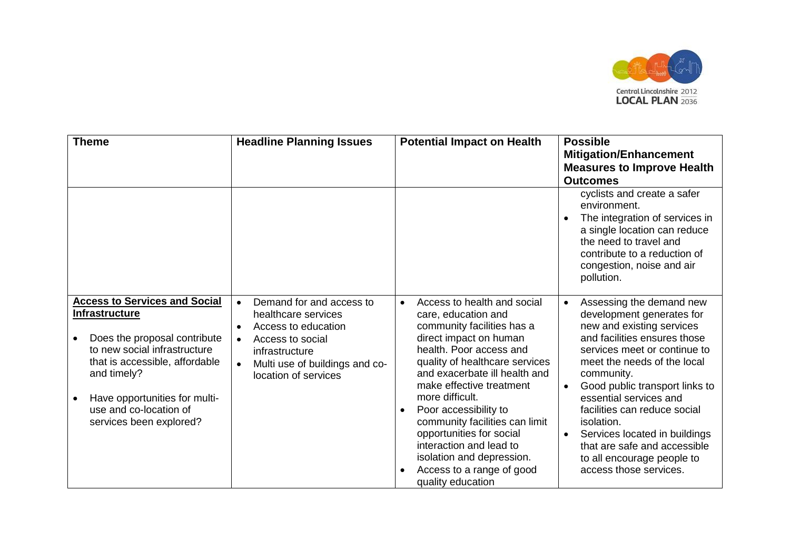

| <b>Theme</b>                                                                                                                                                                                                                                                         | <b>Headline Planning Issues</b>                                                                                                                                                                                            | <b>Potential Impact on Health</b>                                                                                                                                                                                                                                                                                                                                                                                                                                                  | <b>Possible</b><br><b>Mitigation/Enhancement</b><br><b>Measures to Improve Health</b><br><b>Outcomes</b>                                                                                                                                                                                                                                                                                                                                                     |
|----------------------------------------------------------------------------------------------------------------------------------------------------------------------------------------------------------------------------------------------------------------------|----------------------------------------------------------------------------------------------------------------------------------------------------------------------------------------------------------------------------|------------------------------------------------------------------------------------------------------------------------------------------------------------------------------------------------------------------------------------------------------------------------------------------------------------------------------------------------------------------------------------------------------------------------------------------------------------------------------------|--------------------------------------------------------------------------------------------------------------------------------------------------------------------------------------------------------------------------------------------------------------------------------------------------------------------------------------------------------------------------------------------------------------------------------------------------------------|
|                                                                                                                                                                                                                                                                      |                                                                                                                                                                                                                            |                                                                                                                                                                                                                                                                                                                                                                                                                                                                                    | cyclists and create a safer<br>environment.<br>The integration of services in<br>a single location can reduce<br>the need to travel and<br>contribute to a reduction of<br>congestion, noise and air<br>pollution.                                                                                                                                                                                                                                           |
| <b>Access to Services and Social</b><br><b>Infrastructure</b><br>Does the proposal contribute<br>to new social infrastructure<br>that is accessible, affordable<br>and timely?<br>Have opportunities for multi-<br>use and co-location of<br>services been explored? | Demand for and access to<br>$\bullet$<br>healthcare services<br>Access to education<br>$\bullet$<br>Access to social<br>$\bullet$<br>infrastructure<br>Multi use of buildings and co-<br>$\bullet$<br>location of services | Access to health and social<br>$\bullet$<br>care, education and<br>community facilities has a<br>direct impact on human<br>health. Poor access and<br>quality of healthcare services<br>and exacerbate ill health and<br>make effective treatment<br>more difficult.<br>Poor accessibility to<br>$\bullet$<br>community facilities can limit<br>opportunities for social<br>interaction and lead to<br>isolation and depression.<br>Access to a range of good<br>quality education | Assessing the demand new<br>development generates for<br>new and existing services<br>and facilities ensures those<br>services meet or continue to<br>meet the needs of the local<br>community.<br>Good public transport links to<br>$\bullet$<br>essential services and<br>facilities can reduce social<br>isolation.<br>Services located in buildings<br>$\bullet$<br>that are safe and accessible<br>to all encourage people to<br>access those services. |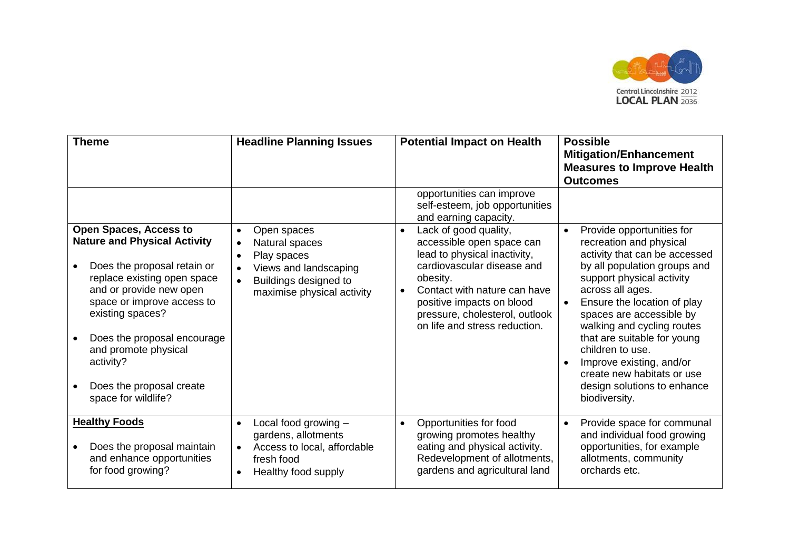

| <b>Theme</b>                                                                                                                                                                                                                                                                                                                           | <b>Headline Planning Issues</b>                                                                                                                                                  | <b>Potential Impact on Health</b>                                                                                                                                                                                                                                                      | <b>Possible</b><br><b>Mitigation/Enhancement</b><br><b>Measures to Improve Health</b><br><b>Outcomes</b>                                                                                                                                                                                                                                                                                                                     |
|----------------------------------------------------------------------------------------------------------------------------------------------------------------------------------------------------------------------------------------------------------------------------------------------------------------------------------------|----------------------------------------------------------------------------------------------------------------------------------------------------------------------------------|----------------------------------------------------------------------------------------------------------------------------------------------------------------------------------------------------------------------------------------------------------------------------------------|------------------------------------------------------------------------------------------------------------------------------------------------------------------------------------------------------------------------------------------------------------------------------------------------------------------------------------------------------------------------------------------------------------------------------|
|                                                                                                                                                                                                                                                                                                                                        |                                                                                                                                                                                  | opportunities can improve<br>self-esteem, job opportunities<br>and earning capacity.                                                                                                                                                                                                   |                                                                                                                                                                                                                                                                                                                                                                                                                              |
| <b>Open Spaces, Access to</b><br><b>Nature and Physical Activity</b><br>Does the proposal retain or<br>replace existing open space<br>and or provide new open<br>space or improve access to<br>existing spaces?<br>Does the proposal encourage<br>and promote physical<br>activity?<br>Does the proposal create<br>space for wildlife? | Open spaces<br>$\bullet$<br>Natural spaces<br>$\bullet$<br>Play spaces<br>$\bullet$<br>Views and landscaping<br>Buildings designed to<br>$\bullet$<br>maximise physical activity | Lack of good quality,<br>$\bullet$<br>accessible open space can<br>lead to physical inactivity,<br>cardiovascular disease and<br>obesity.<br>Contact with nature can have<br>$\bullet$<br>positive impacts on blood<br>pressure, cholesterol, outlook<br>on life and stress reduction. | Provide opportunities for<br>recreation and physical<br>activity that can be accessed<br>by all population groups and<br>support physical activity<br>across all ages.<br>Ensure the location of play<br>spaces are accessible by<br>walking and cycling routes<br>that are suitable for young<br>children to use.<br>Improve existing, and/or<br>create new habitats or use<br>design solutions to enhance<br>biodiversity. |
| <b>Healthy Foods</b><br>Does the proposal maintain<br>and enhance opportunities<br>for food growing?                                                                                                                                                                                                                                   | Local food growing -<br>$\bullet$<br>gardens, allotments<br>Access to local, affordable<br>$\bullet$<br>fresh food<br>Healthy food supply<br>$\bullet$                           | Opportunities for food<br>$\bullet$<br>growing promotes healthy<br>eating and physical activity.<br>Redevelopment of allotments,<br>gardens and agricultural land                                                                                                                      | Provide space for communal<br>and individual food growing<br>opportunities, for example<br>allotments, community<br>orchards etc.                                                                                                                                                                                                                                                                                            |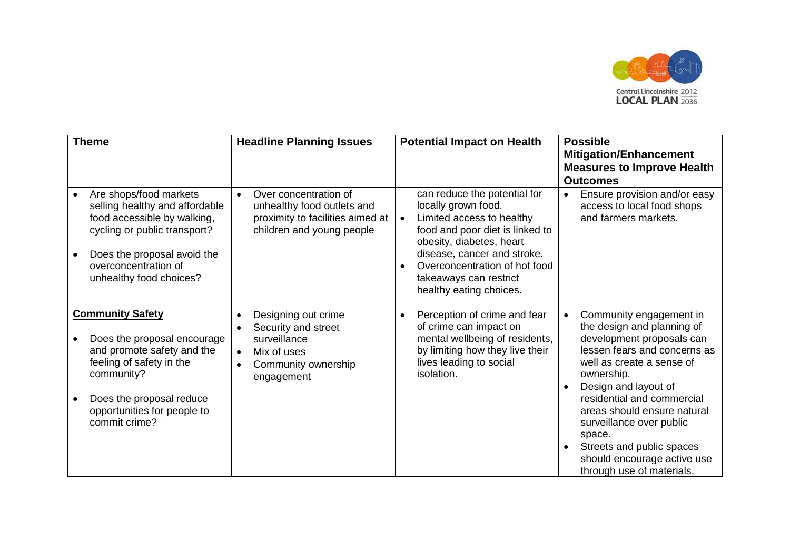

| <b>Theme</b>                                                                                                                                                                                               | <b>Headline Planning Issues</b>                                                                                                                                    | <b>Potential Impact on Health</b>                                                                                                                                                                                                                                                              | <b>Possible</b><br><b>Mitigation/Enhancement</b><br><b>Measures to Improve Health</b><br><b>Outcomes</b>                                                                                                                                                                                                                                                                          |
|------------------------------------------------------------------------------------------------------------------------------------------------------------------------------------------------------------|--------------------------------------------------------------------------------------------------------------------------------------------------------------------|------------------------------------------------------------------------------------------------------------------------------------------------------------------------------------------------------------------------------------------------------------------------------------------------|-----------------------------------------------------------------------------------------------------------------------------------------------------------------------------------------------------------------------------------------------------------------------------------------------------------------------------------------------------------------------------------|
| Are shops/food markets<br>selling healthy and affordable<br>food accessible by walking,<br>cycling or public transport?<br>Does the proposal avoid the<br>overconcentration of<br>unhealthy food choices?  | Over concentration of<br>$\bullet$<br>unhealthy food outlets and<br>proximity to facilities aimed at<br>children and young people                                  | can reduce the potential for<br>locally grown food.<br>Limited access to healthy<br>$\bullet$<br>food and poor diet is linked to<br>obesity, diabetes, heart<br>disease, cancer and stroke.<br>Overconcentration of hot food<br>$\bullet$<br>takeaways can restrict<br>healthy eating choices. | Ensure provision and/or easy<br>$\bullet$<br>access to local food shops<br>and farmers markets.                                                                                                                                                                                                                                                                                   |
| <b>Community Safety</b><br>Does the proposal encourage<br>and promote safety and the<br>feeling of safety in the<br>community?<br>Does the proposal reduce<br>opportunities for people to<br>commit crime? | Designing out crime<br>$\bullet$<br>Security and street<br>$\bullet$<br>surveillance<br>Mix of uses<br>$\bullet$<br>Community ownership<br>$\bullet$<br>engagement | Perception of crime and fear<br>$\bullet$<br>of crime can impact on<br>mental wellbeing of residents,<br>by limiting how they live their<br>lives leading to social<br>isolation.                                                                                                              | Community engagement in<br>the design and planning of<br>development proposals can<br>lessen fears and concerns as<br>well as create a sense of<br>ownership.<br>Design and layout of<br>residential and commercial<br>areas should ensure natural<br>surveillance over public<br>space.<br>Streets and public spaces<br>should encourage active use<br>through use of materials, |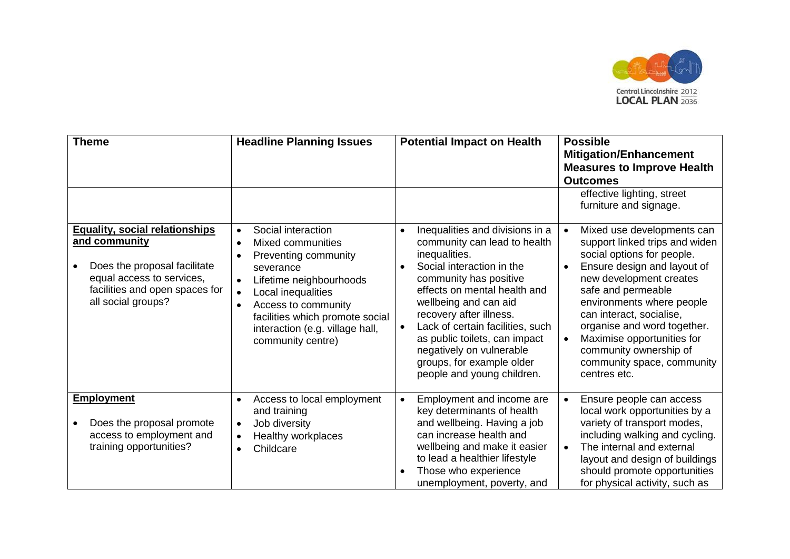

| <b>Theme</b>                                                                                                                                                                | <b>Headline Planning Issues</b>                                                                                                                                                                                                                                                                                                      | <b>Potential Impact on Health</b>                                                                                                                                                                                                                                                                                                                                                                                 | <b>Possible</b>                                                                                                                                                                                                                                                                                                                                                          |
|-----------------------------------------------------------------------------------------------------------------------------------------------------------------------------|--------------------------------------------------------------------------------------------------------------------------------------------------------------------------------------------------------------------------------------------------------------------------------------------------------------------------------------|-------------------------------------------------------------------------------------------------------------------------------------------------------------------------------------------------------------------------------------------------------------------------------------------------------------------------------------------------------------------------------------------------------------------|--------------------------------------------------------------------------------------------------------------------------------------------------------------------------------------------------------------------------------------------------------------------------------------------------------------------------------------------------------------------------|
|                                                                                                                                                                             |                                                                                                                                                                                                                                                                                                                                      |                                                                                                                                                                                                                                                                                                                                                                                                                   | <b>Mitigation/Enhancement</b><br><b>Measures to Improve Health</b><br><b>Outcomes</b>                                                                                                                                                                                                                                                                                    |
|                                                                                                                                                                             |                                                                                                                                                                                                                                                                                                                                      |                                                                                                                                                                                                                                                                                                                                                                                                                   | effective lighting, street<br>furniture and signage.                                                                                                                                                                                                                                                                                                                     |
| <b>Equality, social relationships</b><br>and community<br>Does the proposal facilitate<br>equal access to services,<br>facilities and open spaces for<br>all social groups? | Social interaction<br>$\bullet$<br><b>Mixed communities</b><br>$\bullet$<br>Preventing community<br>$\bullet$<br>severance<br>Lifetime neighbourhoods<br>$\bullet$<br>Local inequalities<br>$\bullet$<br>Access to community<br>$\bullet$<br>facilities which promote social<br>interaction (e.g. village hall,<br>community centre) | Inequalities and divisions in a<br>$\bullet$<br>community can lead to health<br>inequalities.<br>Social interaction in the<br>community has positive<br>effects on mental health and<br>wellbeing and can aid<br>recovery after illness.<br>Lack of certain facilities, such<br>$\bullet$<br>as public toilets, can impact<br>negatively on vulnerable<br>groups, for example older<br>people and young children. | Mixed use developments can<br>support linked trips and widen<br>social options for people.<br>Ensure design and layout of<br>new development creates<br>safe and permeable<br>environments where people<br>can interact, socialise,<br>organise and word together.<br>Maximise opportunities for<br>community ownership of<br>community space, community<br>centres etc. |
| <b>Employment</b><br>Does the proposal promote<br>access to employment and<br>training opportunities?                                                                       | Access to local employment<br>$\bullet$<br>and training<br>Job diversity<br>$\bullet$<br>Healthy workplaces<br>$\bullet$<br>Childcare<br>$\bullet$                                                                                                                                                                                   | Employment and income are<br>$\bullet$<br>key determinants of health<br>and wellbeing. Having a job<br>can increase health and<br>wellbeing and make it easier<br>to lead a healthier lifestyle<br>Those who experience<br>unemployment, poverty, and                                                                                                                                                             | Ensure people can access<br>local work opportunities by a<br>variety of transport modes,<br>including walking and cycling.<br>The internal and external<br>layout and design of buildings<br>should promote opportunities<br>for physical activity, such as                                                                                                              |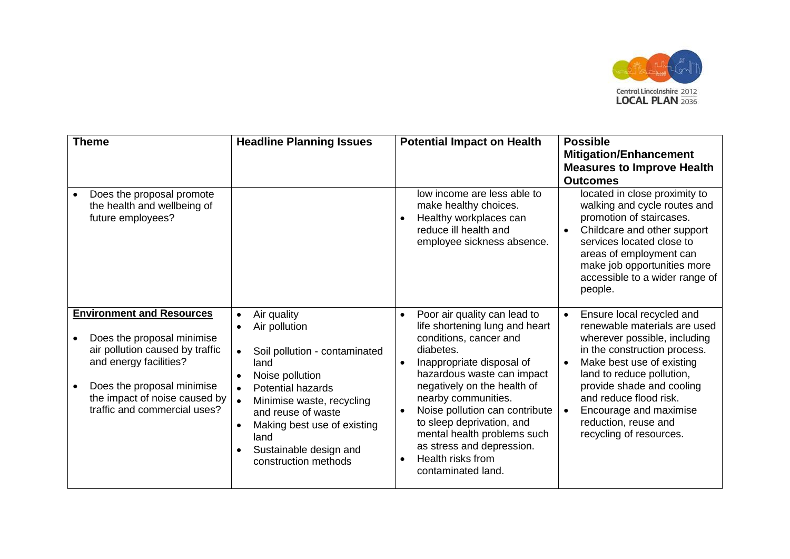

| <b>Theme</b><br>Does the proposal promote                                                                                                                                                                                  | <b>Headline Planning Issues</b>                                                                                                                                                                                                                                                                                                                | <b>Potential Impact on Health</b><br>low income are less able to                                                                                                                                                                                                                                                                                                                                                                                 | <b>Possible</b><br><b>Mitigation/Enhancement</b><br><b>Measures to Improve Health</b><br><b>Outcomes</b><br>located in close proximity to                                                                                                                                                                               |
|----------------------------------------------------------------------------------------------------------------------------------------------------------------------------------------------------------------------------|------------------------------------------------------------------------------------------------------------------------------------------------------------------------------------------------------------------------------------------------------------------------------------------------------------------------------------------------|--------------------------------------------------------------------------------------------------------------------------------------------------------------------------------------------------------------------------------------------------------------------------------------------------------------------------------------------------------------------------------------------------------------------------------------------------|-------------------------------------------------------------------------------------------------------------------------------------------------------------------------------------------------------------------------------------------------------------------------------------------------------------------------|
| the health and wellbeing of<br>future employees?                                                                                                                                                                           |                                                                                                                                                                                                                                                                                                                                                | make healthy choices.<br>Healthy workplaces can<br>$\bullet$<br>reduce ill health and<br>employee sickness absence.                                                                                                                                                                                                                                                                                                                              | walking and cycle routes and<br>promotion of staircases.<br>Childcare and other support<br>services located close to<br>areas of employment can<br>make job opportunities more<br>accessible to a wider range of<br>people.                                                                                             |
| <b>Environment and Resources</b><br>Does the proposal minimise<br>air pollution caused by traffic<br>and energy facilities?<br>Does the proposal minimise<br>the impact of noise caused by<br>traffic and commercial uses? | Air quality<br>$\bullet$<br>Air pollution<br>$\bullet$<br>Soil pollution - contaminated<br>land<br>Noise pollution<br>$\bullet$<br><b>Potential hazards</b><br>$\bullet$<br>Minimise waste, recycling<br>and reuse of waste<br>Making best use of existing<br>$\bullet$<br>land<br>Sustainable design and<br>$\bullet$<br>construction methods | Poor air quality can lead to<br>$\bullet$<br>life shortening lung and heart<br>conditions, cancer and<br>diabetes.<br>Inappropriate disposal of<br>$\bullet$<br>hazardous waste can impact<br>negatively on the health of<br>nearby communities.<br>Noise pollution can contribute<br>$\bullet$<br>to sleep deprivation, and<br>mental health problems such<br>as stress and depression.<br>Health risks from<br>$\bullet$<br>contaminated land. | Ensure local recycled and<br>renewable materials are used<br>wherever possible, including<br>in the construction process.<br>Make best use of existing<br>land to reduce pollution,<br>provide shade and cooling<br>and reduce flood risk.<br>Encourage and maximise<br>reduction, reuse and<br>recycling of resources. |